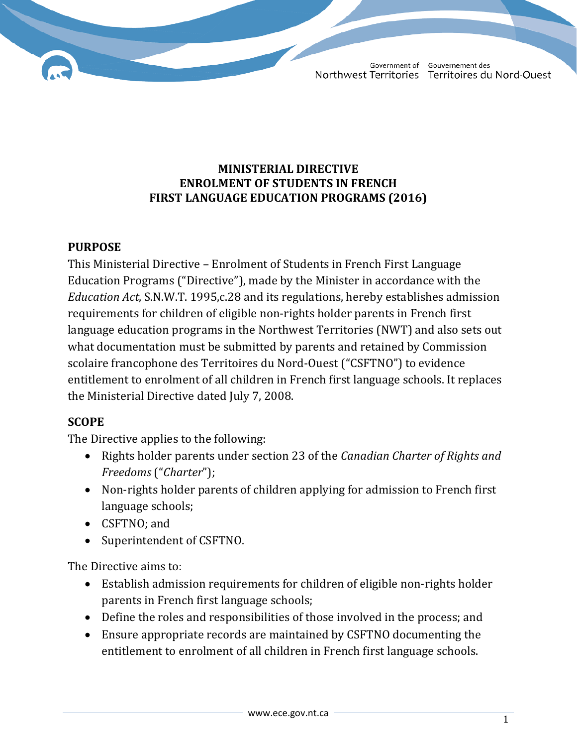## **MINISTERIAL DIRECTIVE ENROLMENT OF STUDENTS IN FRENCH FIRST LANGUAGE EDUCATION PROGRAMS (2016)**

## **PURPOSE**

This Ministerial Directive – Enrolment of Students in French First Language Education Programs ("Directive"), made by the Minister in accordance with the *Education Act*, S.N.W.T. 1995,c.28 and its regulations, hereby establishes admission requirements for children of eligible non-rights holder parents in French first language education programs in the Northwest Territories (NWT) and also sets out what documentation must be submitted by parents and retained by Commission scolaire francophone des Territoires du Nord-Ouest ("CSFTNO") to evidence entitlement to enrolment of all children in French first language schools. It replaces the Ministerial Directive dated July 7, 2008.

# **SCOPE**

The Directive applies to the following:

- Rights holder parents under section 23 of the *Canadian Charter of Rights and Freedoms* ("*Charter*");
- Non-rights holder parents of children applying for admission to French first language schools;
- CSFTNO; and
- Superintendent of CSFTNO.

The Directive aims to:

- Establish admission requirements for children of eligible non-rights holder parents in French first language schools;
- Define the roles and responsibilities of those involved in the process; and
- Ensure appropriate records are maintained by CSFTNO documenting the entitlement to enrolment of all children in French first language schools.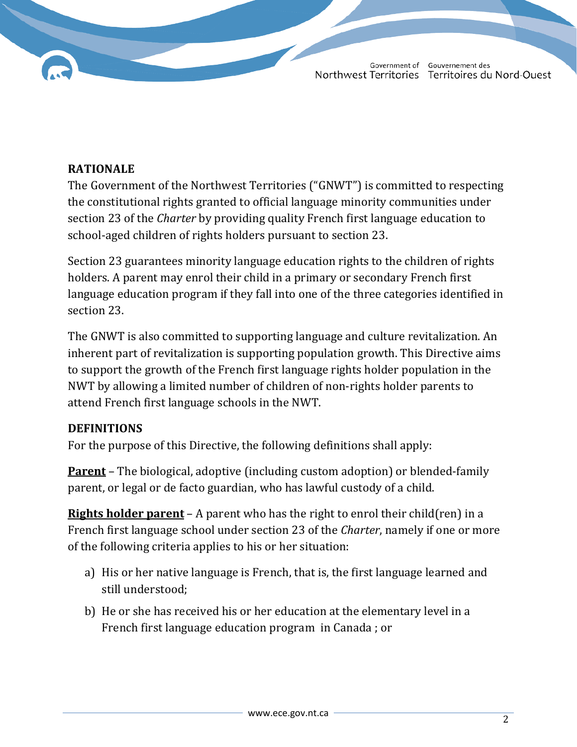## **RATIONALE**

The Government of the Northwest Territories ("GNWT") is committed to respecting the constitutional rights granted to official language minority communities under section 23 of the *Charter* by providing quality French first language education to school-aged children of rights holders pursuant to section 23.

Section 23 guarantees minority language education rights to the children of rights holders. A parent may enrol their child in a primary or secondary French first language education program if they fall into one of the three categories identified in section 23.

The GNWT is also committed to supporting language and culture revitalization. An inherent part of revitalization is supporting population growth. This Directive aims to support the growth of the French first language rights holder population in the NWT by allowing a limited number of children of non-rights holder parents to attend French first language schools in the NWT.

#### **DEFINITIONS**

For the purpose of this Directive, the following definitions shall apply:

**Parent** – The biological, adoptive (including custom adoption) or blended-family parent, or legal or de facto guardian, who has lawful custody of a child.

**Rights holder parent** – A parent who has the right to enrol their child(ren) in a French first language school under section 23 of the *Charter*, namely if one or more of the following criteria applies to his or her situation:

- a) His or her native language is French, that is, the first language learned and still understood;
- b) He or she has received his or her education at the elementary level in a French first language education program in Canada ; or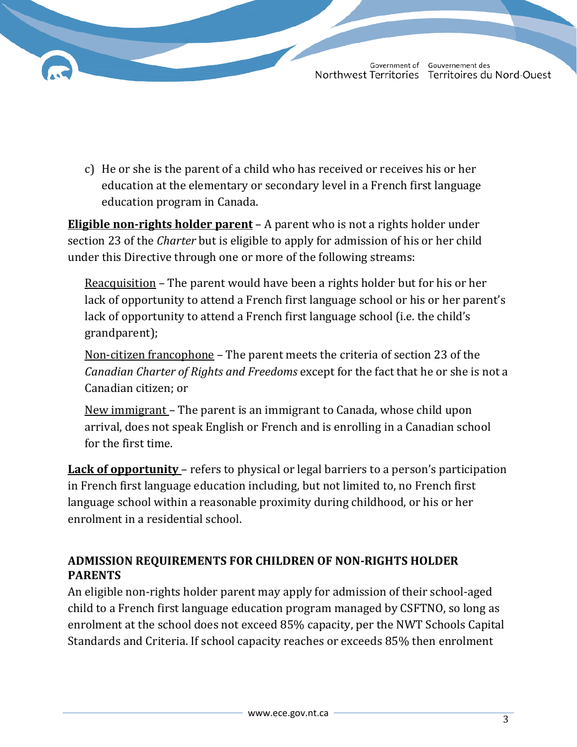c) He or she is the parent of a child who has received or receives his or her education at the elementary or secondary level in a French first language education program in Canada.

**Eligible non-rights holder parent** – A parent who is not a rights holder under section 23 of the *Charter* but is eligible to apply for admission of his or her child under this Directive through one or more of the following streams:

Reacquisition – The parent would have been a rights holder but for his or her lack of opportunity to attend a French first language school or his or her parent's lack of opportunity to attend a French first language school (i.e. the child's grandparent);

Non-citizen francophone – The parent meets the criteria of section 23 of the *Canadian Charter of Rights and Freedoms* except for the fact that he or she is not a Canadian citizen; or

New immigrant – The parent is an immigrant to Canada, whose child upon arrival, does not speak English or French and is enrolling in a Canadian school for the first time.

**Lack of opportunity** – refers to physical or legal barriers to a person's participation in French first language education including, but not limited to, no French first language school within a reasonable proximity during childhood, or his or her enrolment in a residential school.

# **ADMISSION REQUIREMENTS FOR CHILDREN OF NON-RIGHTS HOLDER PARENTS**

An eligible non-rights holder parent may apply for admission of their school-aged child to a French first language education program managed by CSFTNO, so long as enrolment at the school does not exceed 85% capacity, per the NWT Schools Capital Standards and Criteria. If school capacity reaches or exceeds 85% then enrolment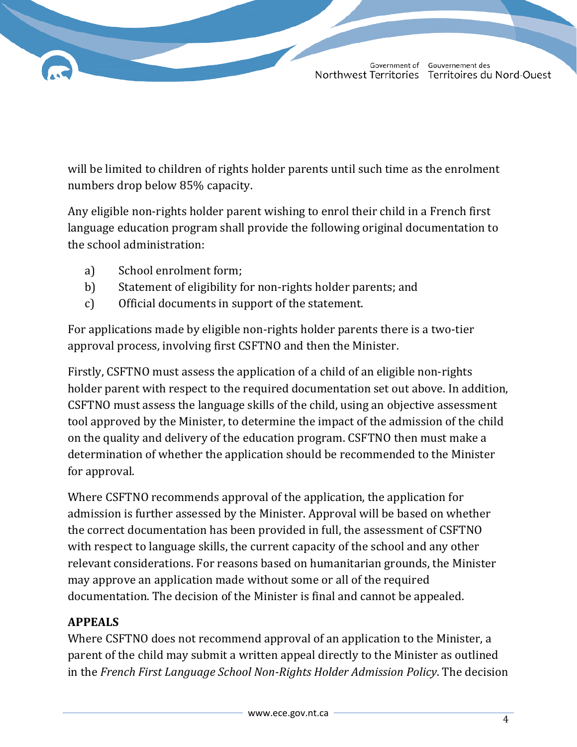will be limited to children of rights holder parents until such time as the enrolment numbers drop below 85% capacity.

Any eligible non-rights holder parent wishing to enrol their child in a French first language education program shall provide the following original documentation to the school administration:

- a) School enrolment form;
- b) Statement of eligibility for non-rights holder parents; and
- c) Official documents in support of the statement.

For applications made by eligible non-rights holder parents there is a two-tier approval process, involving first CSFTNO and then the Minister.

Firstly, CSFTNO must assess the application of a child of an eligible non-rights holder parent with respect to the required documentation set out above. In addition, CSFTNO must assess the language skills of the child, using an objective assessment tool approved by the Minister, to determine the impact of the admission of the child on the quality and delivery of the education program. CSFTNO then must make a determination of whether the application should be recommended to the Minister for approval.

Where CSFTNO recommends approval of the application, the application for admission is further assessed by the Minister. Approval will be based on whether the correct documentation has been provided in full, the assessment of CSFTNO with respect to language skills, the current capacity of the school and any other relevant considerations. For reasons based on humanitarian grounds, the Minister may approve an application made without some or all of the required documentation. The decision of the Minister is final and cannot be appealed.

# **APPEALS**

Where CSFTNO does not recommend approval of an application to the Minister, a parent of the child may submit a written appeal directly to the Minister as outlined in the *French First Language School Non-Rights Holder Admission Policy*. The decision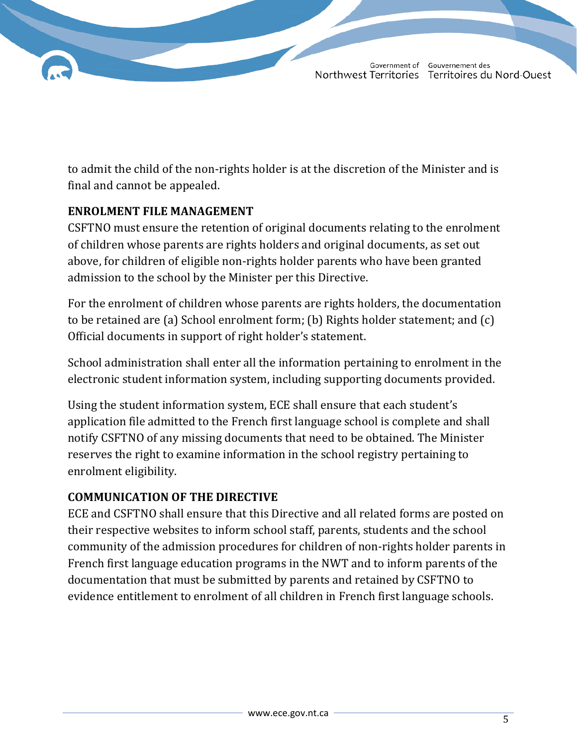to admit the child of the non-rights holder is at the discretion of the Minister and is final and cannot be appealed.

# **ENROLMENT FILE MANAGEMENT**

CSFTNO must ensure the retention of original documents relating to the enrolment of children whose parents are rights holders and original documents, as set out above, for children of eligible non-rights holder parents who have been granted admission to the school by the Minister per this Directive.

For the enrolment of children whose parents are rights holders, the documentation to be retained are (a) School enrolment form; (b) Rights holder statement; and (c) Official documents in support of right holder's statement.

School administration shall enter all the information pertaining to enrolment in the electronic student information system, including supporting documents provided.

Using the student information system, ECE shall ensure that each student's application file admitted to the French first language school is complete and shall notify CSFTNO of any missing documents that need to be obtained. The Minister reserves the right to examine information in the school registry pertaining to enrolment eligibility.

# **COMMUNICATION OF THE DIRECTIVE**

ECE and CSFTNO shall ensure that this Directive and all related forms are posted on their respective websites to inform school staff, parents, students and the school community of the admission procedures for children of non-rights holder parents in French first language education programs in the NWT and to inform parents of the documentation that must be submitted by parents and retained by CSFTNO to evidence entitlement to enrolment of all children in French first language schools.